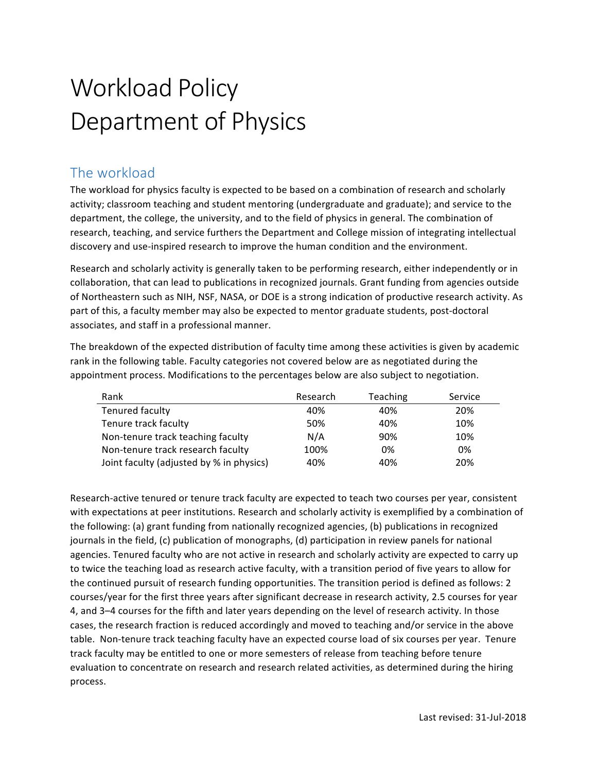# Workload Policy Department of Physics

## The workload

The workload for physics faculty is expected to be based on a combination of research and scholarly activity; classroom teaching and student mentoring (undergraduate and graduate); and service to the department, the college, the university, and to the field of physics in general. The combination of research, teaching, and service furthers the Department and College mission of integrating intellectual discovery and use-inspired research to improve the human condition and the environment.

Research and scholarly activity is generally taken to be performing research, either independently or in collaboration, that can lead to publications in recognized journals. Grant funding from agencies outside of Northeastern such as NIH, NSF, NASA, or DOE is a strong indication of productive research activity. As part of this, a faculty member may also be expected to mentor graduate students, post-doctoral associates, and staff in a professional manner.

The breakdown of the expected distribution of faculty time among these activities is given by academic rank in the following table. Faculty categories not covered below are as negotiated during the appointment process. Modifications to the percentages below are also subject to negotiation.

| Rank                                     | Research | <b>Teaching</b> | Service |
|------------------------------------------|----------|-----------------|---------|
| Tenured faculty                          | 40%      | 40%             | 20%     |
| Tenure track faculty                     | 50%      | 40%             | 10%     |
| Non-tenure track teaching faculty        | N/A      | 90%             | 10%     |
| Non-tenure track research faculty        | 100%     | 0%              | 0%      |
| Joint faculty (adjusted by % in physics) | 40%      | 40%             | 20%     |

Research-active tenured or tenure track faculty are expected to teach two courses per year, consistent with expectations at peer institutions. Research and scholarly activity is exemplified by a combination of the following: (a) grant funding from nationally recognized agencies, (b) publications in recognized journals in the field, (c) publication of monographs, (d) participation in review panels for national agencies. Tenured faculty who are not active in research and scholarly activity are expected to carry up to twice the teaching load as research active faculty, with a transition period of five years to allow for the continued pursuit of research funding opportunities. The transition period is defined as follows: 2 courses/year for the first three years after significant decrease in research activity, 2.5 courses for year 4, and 3-4 courses for the fifth and later years depending on the level of research activity. In those cases, the research fraction is reduced accordingly and moved to teaching and/or service in the above table. Non-tenure track teaching faculty have an expected course load of six courses per year. Tenure track faculty may be entitled to one or more semesters of release from teaching before tenure evaluation to concentrate on research and research related activities, as determined during the hiring process.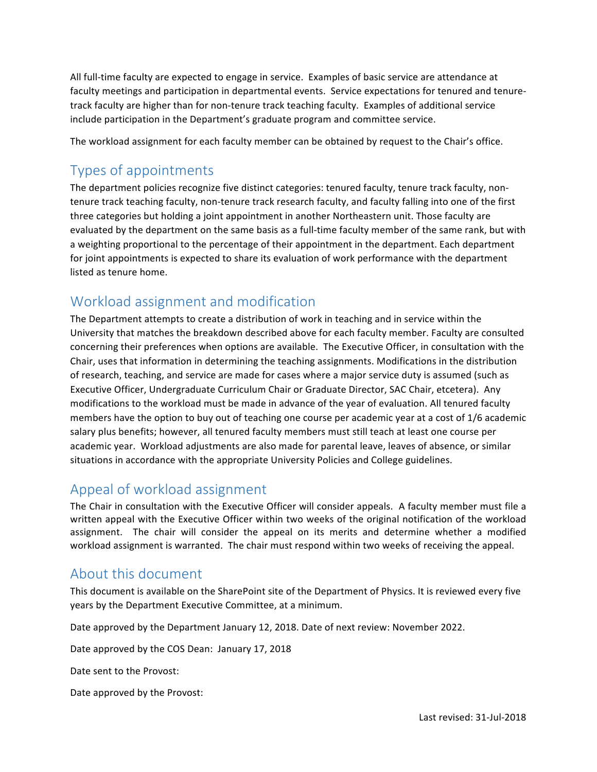All full-time faculty are expected to engage in service. Examples of basic service are attendance at faculty meetings and participation in departmental events. Service expectations for tenured and tenuretrack faculty are higher than for non-tenure track teaching faculty. Examples of additional service include participation in the Department's graduate program and committee service.

The workload assignment for each faculty member can be obtained by request to the Chair's office.

### Types of appointments

The department policies recognize five distinct categories: tenured faculty, tenure track faculty, nontenure track teaching faculty, non-tenure track research faculty, and faculty falling into one of the first three categories but holding a joint appointment in another Northeastern unit. Those faculty are evaluated by the department on the same basis as a full-time faculty member of the same rank, but with a weighting proportional to the percentage of their appointment in the department. Each department for joint appointments is expected to share its evaluation of work performance with the department listed as tenure home.

#### Workload assignment and modification

The Department attempts to create a distribution of work in teaching and in service within the University that matches the breakdown described above for each faculty member. Faculty are consulted concerning their preferences when options are available. The Executive Officer, in consultation with the Chair, uses that information in determining the teaching assignments. Modifications in the distribution of research, teaching, and service are made for cases where a major service duty is assumed (such as Executive Officer, Undergraduate Curriculum Chair or Graduate Director, SAC Chair, etcetera). Any modifications to the workload must be made in advance of the year of evaluation. All tenured faculty members have the option to buy out of teaching one course per academic year at a cost of 1/6 academic salary plus benefits; however, all tenured faculty members must still teach at least one course per academic year. Workload adjustments are also made for parental leave, leaves of absence, or similar situations in accordance with the appropriate University Policies and College guidelines.

#### Appeal of workload assignment

The Chair in consultation with the Executive Officer will consider appeals. A faculty member must file a written appeal with the Executive Officer within two weeks of the original notification of the workload assignment. The chair will consider the appeal on its merits and determine whether a modified workload assignment is warranted. The chair must respond within two weeks of receiving the appeal.

#### About this document

This document is available on the SharePoint site of the Department of Physics. It is reviewed every five years by the Department Executive Committee, at a minimum.

Date approved by the Department January 12, 2018. Date of next review: November 2022.

Date approved by the COS Dean: January 17, 2018

Date sent to the Provost:

Date approved by the Provost: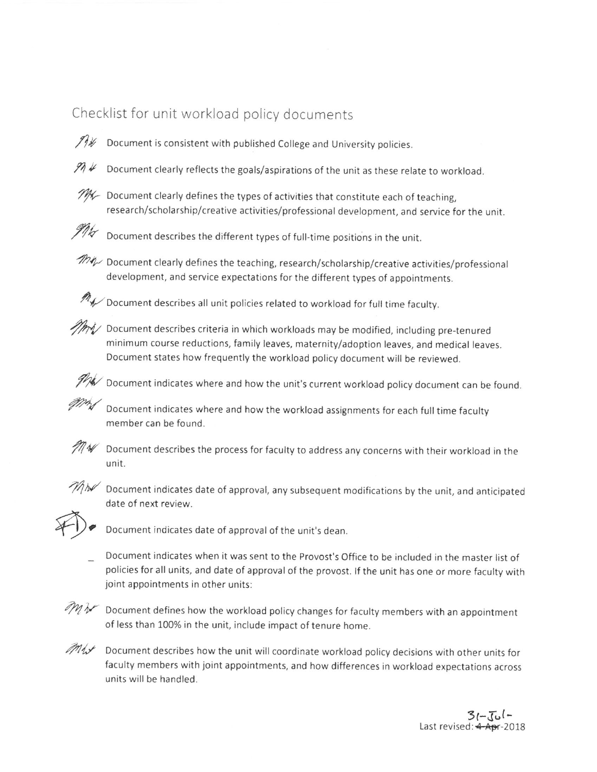## Checklist for unit workload policy documents

 $71\%$ 

Document is consistent with published College and University policies.

- Document clearly reflects the goals/aspirations of the unit as these relate to workload.  $974$
- $\mathcal{PH}$  Document clearly defines the types of activities that constitute each of teaching, research/scholarship/creative activities/professional development, and service for the unit.



Document describes the different types of full-time positions in the unit.

my Document clearly defines the teaching, research/scholarship/creative activities/professional development, and service expectations for the different types of appointments.



 $\mathcal{M}$  Document describes all unit policies related to workload for full time faculty.

MM/ Document describes criteria in which workloads may be modified, including pre-tenured minimum course reductions, family leaves, maternity/adoption leaves, and medical leaves. Document states how frequently the workload policy document will be reviewed.

 $\mathscr{P\!A}$  Document indicates where and how the unit's current workload policy document can be found.

Document indicates where and how the workload assignments for each full time faculty member can be found.



 $\mathscr{M}$  Document describes the process for faculty to address any concerns with their workload in the unit.



 $\mathcal{W}_{\mathcal{W}}$  Document indicates date of approval, any subsequent modifications by the unit, and anticipated date of next review.



Document indicates date of approval of the unit's dean.

Document indicates when it was sent to the Provost's Office to be included in the master list of policies for all units, and date of approval of the provost. If the unit has one or more faculty with joint appointments in other units:



 $\mathcal{M}$   $\mathcal{M}$  Document defines how the workload policy changes for faculty members with an appointment of less than 100% in the unit, include impact of tenure home.

mix Document describes how the unit will coordinate workload policy decisions with other units for faculty members with joint appointments, and how differences in workload expectations across units will be handled.